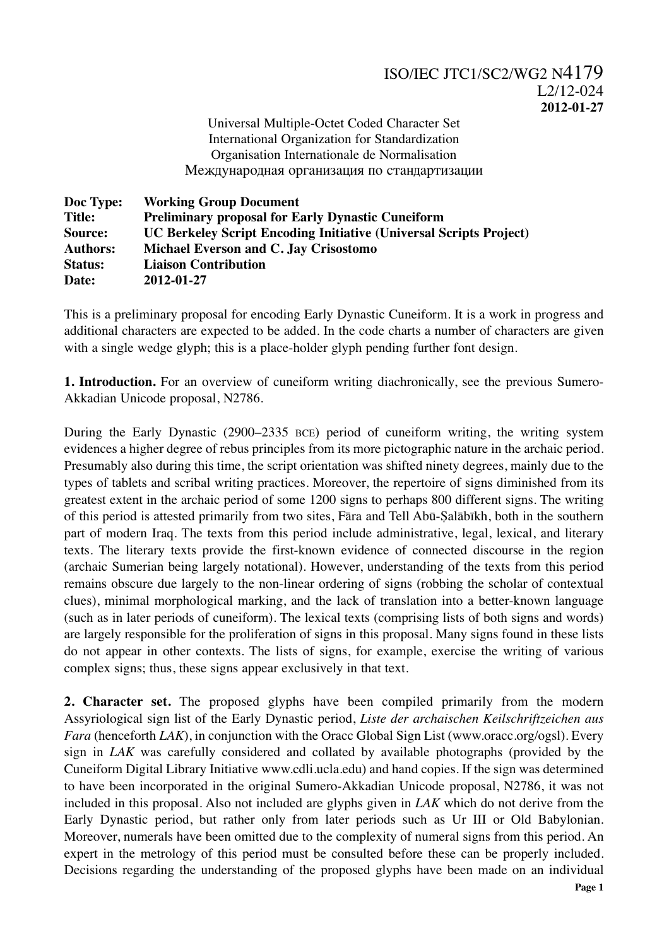Universal Multiple-Octet Coded Character Set International Organization for Standardization Organisation Internationale de Normalisation Международная организация по стандартизации

| Doc Type:       | <b>Working Group Document</b>                                             |
|-----------------|---------------------------------------------------------------------------|
| <b>Title:</b>   | <b>Preliminary proposal for Early Dynastic Cuneiform</b>                  |
| Source:         | <b>UC Berkeley Script Encoding Initiative (Universal Scripts Project)</b> |
| <b>Authors:</b> | Michael Everson and C. Jay Crisostomo                                     |
| <b>Status:</b>  | <b>Liaison Contribution</b>                                               |
| Date:           | 2012-01-27                                                                |

This is a preliminary proposal for encoding Early Dynastic Cuneiform. It is a work in progress and additional characters are expected to be added. In the code charts a number of characters are given with a single wedge glyph; this is a place-holder glyph pending further font design.

**1. Introduction.** For an overview of cuneiform writing diachronically, see the previous Sumero-Akkadian Unicode proposal, N2786.

During the Early Dynastic (2900–2335 BCE) period of cuneiform writing, the writing system evidences a higher degree of rebus principles from its more pictographic nature in the archaic period. Presumably also during this time, the script orientation was shifted ninety degrees, mainly due to the types of tablets and scribal writing practices. Moreover, the repertoire of signs diminished from its greatest extent in the archaic period of some 1200 signs to perhaps 800 different signs. The writing of this period is attested primarily from two sites, Fāra and Tell Abū-Ṣalābīkh, both in the southern part of modern Iraq. The texts from this period include administrative, legal, lexical, and literary texts. The literary texts provide the first-known evidence of connected discourse in the region (archaic Sumerian being largely notational). However, understanding of the texts from this period remains obscure due largely to the non-linear ordering of signs (robbing the scholar of contextual clues), minimal morphological marking, and the lack of translation into a better-known language (such as in later periods of cuneiform). The lexical texts (comprising lists of both signs and words) are largely responsible for the proliferation of signs in this proposal. Many signs found in these lists do not appear in other contexts. The lists of signs, for example, exercise the writing of various complex signs; thus, these signs appear exclusively in that text.

**2. Character set.** The proposed glyphs have been compiled primarily from the modern Assyriological sign list of the Early Dynastic period, *Liste der archaischen Keilschriftzeichen aus Fara* (henceforth *LAK*), in conjunction with the Oracc Global Sign List (www.oracc.org/ogsl). Every sign in *LAK* was carefully considered and collated by available photographs (provided by the Cuneiform Digital Library Initiative www.cdli.ucla.edu) and hand copies. If the sign was determined to have been incorporated in the original Sumero-Akkadian Unicode proposal, N2786, it was not included in this proposal. Also not included are glyphs given in *LAK* which do not derive from the Early Dynastic period, but rather only from later periods such as Ur III or Old Babylonian. Moreover, numerals have been omitted due to the complexity of numeral signs from this period. An expert in the metrology of this period must be consulted before these can be properly included. Decisions regarding the understanding of the proposed glyphs have been made on an individual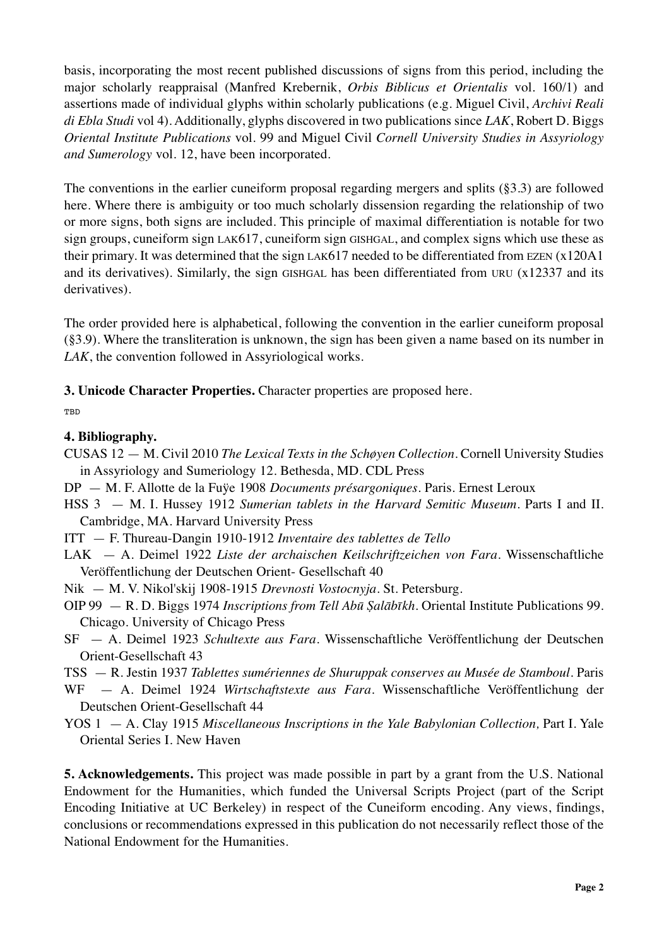basis, incorporating the most recent published discussions of signs from this period, including the major scholarly reappraisal (Manfred Krebernik, *Orbis Biblicus et Orientalis* vol. 160/1) and assertions made of individual glyphs within scholarly publications (e.g. Miguel Civil, *Archivi Reali di Ebla Studi* vol 4). Additionally, glyphs discovered in two publications since *LAK*, Robert D. Biggs *Oriental Institute Publications* vol. 99 and Miguel Civil *Cornell University Studies in Assyriology and Sumerology* vol. 12, have been incorporated.

The conventions in the earlier cuneiform proposal regarding mergers and splits  $(\S3.3)$  are followed here. Where there is ambiguity or too much scholarly dissension regarding the relationship of two or more signs, both signs are included. This principle of maximal differentiation is notable for two sign groups, cuneiform sign LAK617, cuneiform sign GISHGAL, and complex signs which use these as their primary. It was determined that the sign LAK617 needed to be differentiated from EZEN (x120A1 and its derivatives). Similarly, the sign GISHGAL has been differentiated from URU (x12337 and its derivatives).

The order provided here is alphabetical, following the convention in the earlier cuneiform proposal (§3.9). Where the transliteration is unknown, the sign has been given a name based on its number in *LAK*, the convention followed in Assyriological works.

**3. Unicode Character Properties.** Character properties are proposed here.

**TRD** 

## **4. Bibliography.**

- CUSAS 12 M. Civil 2010 *The Lexical Texts in the Schøyen Collection.* Cornell University Studies in Assyriology and Sumeriology 12. Bethesda, MD. CDL Press
- DP M. F. Allotte de la Fuÿe 1908 *Documents présargoniques.* Paris. Ernest Leroux
- HSS 3 M. I. Hussey 1912 *Sumerian tablets in the Harvard Semitic Museum*. Parts I and II. Cambridge, MA. Harvard University Press
- ITT F. Thureau-Dangin 1910-1912 *Inventaire des tablettes de Tello*
- LAK A. Deimel 1922 *Liste der archaischen Keilschriftzeichen von Fara.* Wissenschaftliche Veröffentlichung der Deutschen Orient- Gesellschaft 40
- Nik M. V. Nikol'skij 1908-1915 *Drevnosti Vostocnyja.* St. Petersburg.
- OIP 99 R. D. Biggs 1974 *Inscriptions from Tell Abū Ṣalābīkh.* Oriental Institute Publications 99. Chicago. University of Chicago Press
- SF A. Deimel 1923 *Schultexte aus Fara.* Wissenschaftliche Veröffentlichung der Deutschen Orient-Gesellschaft 43
- TSS R. Jestin 1937 *Tablettes sumériennes de Shuruppak conserves au Musée de Stamboul.* Paris
- WF A. Deimel 1924 *Wirtschaftstexte aus Fara.* Wissenschaftliche Veröffentlichung der Deutschen Orient-Gesellschaft 44
- YOS 1 A. Clay 1915 *Miscellaneous Inscriptions in the Yale Babylonian Collection,* Part I. Yale Oriental Series I. New Haven

**5. Acknowledgements.** This project was made possible in part by a grant from the U.S. National Endowment for the Humanities, which funded the Universal Scripts Project (part of the Script Encoding Initiative at UC Berkeley) in respect of the Cuneiform encoding. Any views, findings, conclusions or recommendations expressed in this publication do not necessarily reflect those of the National Endowment for the Humanities.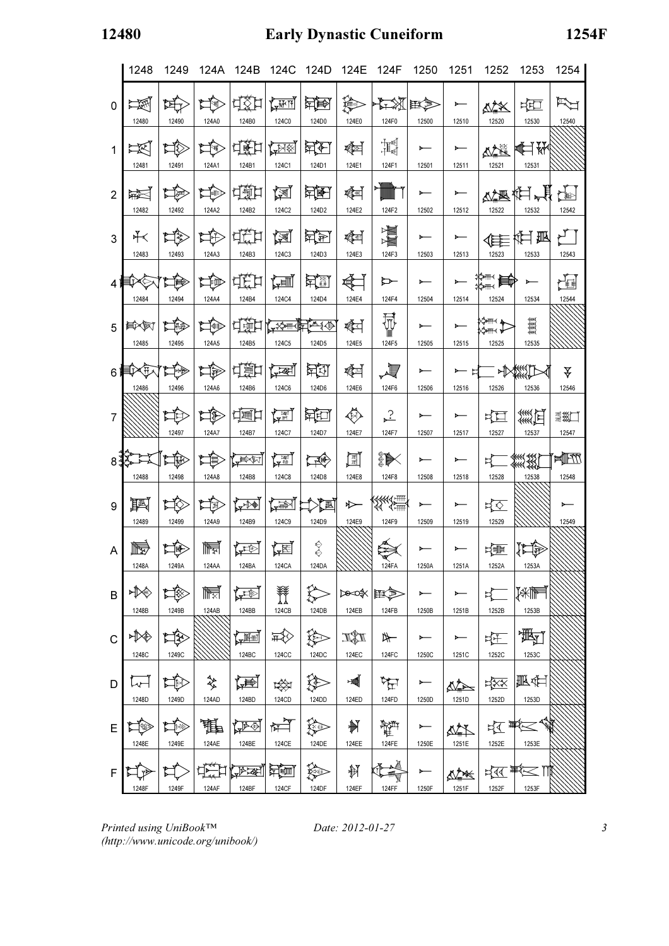# 12480 Early Dynastic Cuneiform 1254F

|                | 1248               | 1249        | 124A         | 124B                                                                                      | 124C                   | 124D                                                                                                        | 124E                   | 124F                        | 1250       | 1251              | 1252              | 1253                                                                                                                                                                                                                                                                                                                 | 1254                  |
|----------------|--------------------|-------------|--------------|-------------------------------------------------------------------------------------------|------------------------|-------------------------------------------------------------------------------------------------------------|------------------------|-----------------------------|------------|-------------------|-------------------|----------------------------------------------------------------------------------------------------------------------------------------------------------------------------------------------------------------------------------------------------------------------------------------------------------------------|-----------------------|
| $\mathbf{0}$   | <b>NA</b><br>12480 | 妇<br>12490  | HR<br>124A0  | ដន្ទីដ<br>124B0                                                                           | <b>AMIT</b><br>124C0   | 医电压<br>124D0                                                                                                | չ<br>124E0             | <b>AX</b><br>124F0          | E<br>12500 | 12510             | ष्ट्रि≫<br>12520  | ¤े<br>12530                                                                                                                                                                                                                                                                                                          | 12540                 |
| $\mathbf{1}$   | 区<br>12481         | ⊭Σ<br>12491 | 口<br>124A1   | 可選け<br>124B1                                                                              | <b>ANE</b><br>124C1    | 其石<br>124D1                                                                                                 | ≰⊠<br>124E1            | 增<br>124F1                  | 12501      | 12511             | △全道<br>12521      | <br>12531                                                                                                                                                                                                                                                                                                            |                       |
| $\overline{2}$ | 凝<br>12482         | ™<br>12492  | 偷<br>124A2   | は通口<br>124B2                                                                              | 囫<br>124C2             | 西里<br>124D2                                                                                                 | K<br>124E2             | 124F2                       | 12502      | 12512             | 12522             | 心理性胃胃<br>12532                                                                                                                                                                                                                                                                                                       | 12542                 |
| 3              | ⊁≺<br>12483        | ☆■<br>12493 | 口住<br>124A3  | <b>ded</b><br>124B3                                                                       | 囫<br>124C3             | 医医<br>124D3                                                                                                 | াৰী<br>124E3           | XX<br>124F3                 | 12503      | 12513             | 12523             | 登員<br>12533                                                                                                                                                                                                                                                                                                          | ۲ I<br>12543          |
| 4              | ا×⊺<br>12484       | 頂<br>12494  | 片種<br>124A4  | de d<br>124B4                                                                             | 酒<br>124C4             | 其團<br>124D4                                                                                                 | ∖<br>124E4             | ⊵<br>124F4                  | 12504      | 12514             | ▓▒█▓<br>12524     | $\longleftarrow$<br>12534                                                                                                                                                                                                                                                                                            | 圖<br>12544            |
| 5              | 真人的<br>12485       | 撧<br>12495  | 飞<br>124A5   | ਪ੍ਰੰਭੂਸ<br>124B5                                                                          | 124C5                  | <b>KAN FAIR</b><br>124D5                                                                                    | াৰী<br>124E5           | $\mathbb{\bar{P}}$<br>124F5 | 12505      | 12515             | 12525             | 12535                                                                                                                                                                                                                                                                                                                |                       |
| 6 <sup>1</sup> | Ĥ.<br>12486        | 12496       | 奄<br>124A6   | 中国け<br>124B6                                                                              | <u>( yati</u><br>124C6 | 电团<br>124D6                                                                                                 | ≰⊟<br>124E6            | 义<br>124F6                  | 12506      | - ಆ<br>≻<br>12516 | 呼<br>12526        | 12536                                                                                                                                                                                                                                                                                                                | ₹<br>12546            |
| 7              |                    | ゴ月<br>12497 | 奪<br>124A7   | 白通口<br>124B7                                                                              | {≫⊟<br>124C7           | どうしょう とうしょう とうしょう とうしょう とうしょう とうしょう とうしょう とうしょう とうしゃ とうしゃ とうしゃ とうしゃ とうしゃくん こうしゃくん しょうしん しょうしん しんのう<br>124D7 | ♦<br>124E7             | 군<br>124F7                  | 12507      | 12517             | ¤্⊟<br>12527      | 羹四<br>12537                                                                                                                                                                                                                                                                                                          | ■終门<br>12547          |
| 8 <sup>1</sup> | 12488              | 门路<br>12498 | H<br>124A8   | <b>APORT</b><br>124B8                                                                     | 【本題】<br>124C8          | 大変<br>124D8                                                                                                 | 圓<br>124E8             | ▒█╳<br>124F8                | 12508      | 12518             | ¤<br>12528        | $\frac{1}{1000}$<br>12538                                                                                                                                                                                                                                                                                            | <b>MIRTY</b><br>12548 |
| 9              | 興<br>12489         | 12499       | 頂<br>124A9   | <b>AND</b><br>124B9                                                                       | 一个<br>124C9            | 江<br>124D9                                                                                                  | ↜<br>124E9             | ∢∢∢∢<br>∢∢ ∢≒<br>124F9      | 12509      | 12519             | ¤্<br>12529       |                                                                                                                                                                                                                                                                                                                      | 12549                 |
| A              | Ity<br>1248A       | 睡<br>1249A  | 屙<br>124AA   | AFE<br>124BA                                                                              | 陸<br>124CA             | ♦<br>124DA                                                                                                  | ////////               | 124FA                       | 1250A      | 1251A             | 地<br>1252A        | 険<br>1253A                                                                                                                                                                                                                                                                                                           |                       |
| B              | ਮী∕∕<br>1248B      | ⊉≸<br>1249B | 屙<br>124AB   | <b>ATION</b><br>124BB                                                                     | U<br>124CB             | 124DB                                                                                                       | । अन्वी ⊁००वा<br>124EB | 124FB                       | 1250B      | 1251B             | $\sharp$<br>1252B | 孫権<br>1253B                                                                                                                                                                                                                                                                                                          |                       |
| $\mathsf{C}$   | ≻।≫€<br>1248C      | ុ<br>1249C  |              | <b>THE</b><br>124BC                                                                       | 类<br><b>124CC</b>      | 珍<br>124DC                                                                                                  | ISE<br>124EC           | 124FC                       | 1250C      | 1251C             | 妊<br>1252C        | 潤<br>1253C                                                                                                                                                                                                                                                                                                           |                       |
| D              | L<br>1248D         | 口<br>1249D  | ❖<br>124AD   | 傳<br>124BD                                                                                | ₩<br>124CD             | 洤<br>124DD                                                                                                  | ■<br>124ED             | म्ल<br>124FD                | 1250D      | 泰<br>1251D        | ¤শ্ৰূষ<br>1252D   | <b>孤生</b><br>1253D                                                                                                                                                                                                                                                                                                   |                       |
| E              | 1248E              | 1249E       | The<br>124AE | $\sqrt{\mathbb{P}\oplus}$<br>124BE                                                        | स्रै<br>124CE          | 绘画<br>124DE                                                                                                 | 制<br>124EE             | 雧<br><b>124FE</b>           | 1250E      | 1251E             | 1252E             | 齿青风<br>1253E                                                                                                                                                                                                                                                                                                         |                       |
| F              | 1248F              | 1249F       | 124AF        | $\sqrt{1+\sqrt{1+\frac{1}{2}}\left( \frac{1}{\sqrt{1+\frac{1}{2}}}\right) ^{2}}$<br>124BF | 江道<br><b>124CF</b>     | ▓<br>124DF                                                                                                  | 制<br>124EF             | 無<br>124FF                  | 1250F      | ₫₹<br>1251F       | 1252F             | $\frac{1}{40}$ $\frac{1}{40}$ $\frac{1}{40}$ $\frac{1}{40}$ $\frac{1}{40}$ $\frac{1}{40}$ $\frac{1}{40}$ $\frac{1}{40}$ $\frac{1}{40}$ $\frac{1}{40}$ $\frac{1}{40}$ $\frac{1}{40}$ $\frac{1}{40}$ $\frac{1}{40}$ $\frac{1}{40}$ $\frac{1}{40}$ $\frac{1}{40}$ $\frac{1}{40}$ $\frac{1}{40}$ $\frac{1}{40}$<br>1253F |                       |

Printed using UniBook™ (http://www.unicode.org/unibook/)

Date: 2012-01-27 3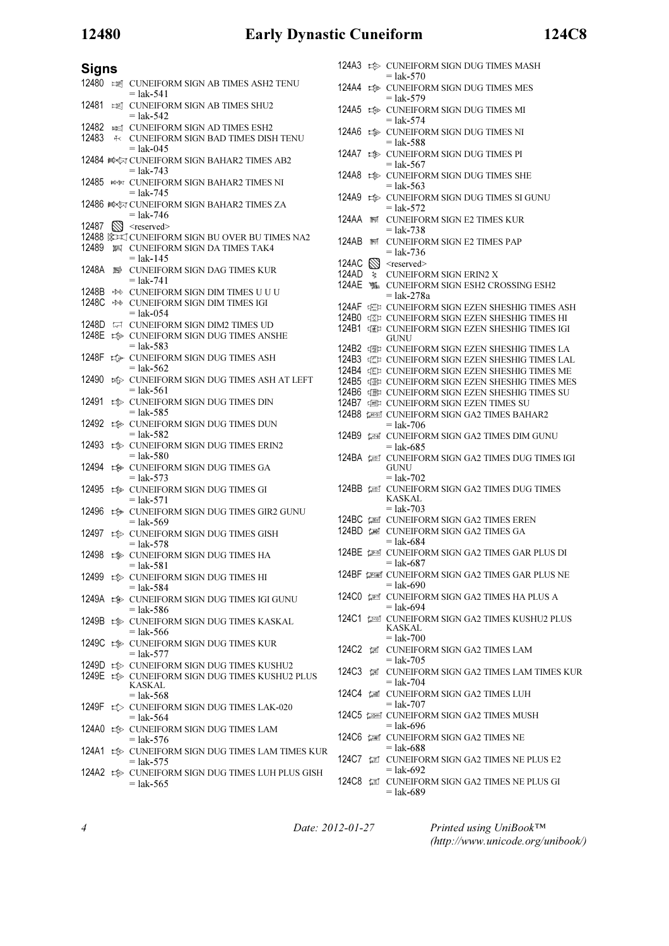# 12480 Early Dynastic Cuneiform 124C8

## **Signs**

| - - - |   |                                                                                                                              |
|-------|---|------------------------------------------------------------------------------------------------------------------------------|
| 12480 |   | <b>EXECUNEIFORM SIGN AB TIMES ASH2 TENU</b><br>$=$ lak-541                                                                   |
| 12481 |   | EX CUNEIFORM SIGN AB TIMES SHU2<br>$=$ lak-542                                                                               |
| 12482 |   | <b>EXECUNEIFORM SIGN AD TIMES ESH2</b>                                                                                       |
| 12483 |   | <b><math>\kappa</math> CUNEIFORM SIGN BAD TIMES DISH TENU</b><br>$=$ lak-045                                                 |
|       |   | 12484 A CUNEIFORM SIGN BAHAR2 TIMES AB2<br>$=$ lak-743                                                                       |
| 12485 |   | <b>BOOT CUNEIFORM SIGN BAHAR2 TIMES NI</b><br>$=$ lak-745                                                                    |
|       |   | 12486 A CUNEIFORM SIGN BAHAR2 TIMES ZA<br>= lak-746                                                                          |
| 12487 |   | $\mathbb{N}$ <reserved></reserved>                                                                                           |
|       |   | 12488 涂¤ズ CUNEIFORM SIGN BU OVER BU TIMES NA2                                                                                |
| 12489 |   | 啊 CUNEIFORM SIGN DA TIMES TAK4                                                                                               |
|       |   | $=$ lak-145                                                                                                                  |
| 1248A | 料 | <b>CUNEIFORM SIGN DAG TIMES KUR</b><br>$=$ lak-741                                                                           |
| 1248B |   | <b>★※ CUNEIFORM SIGN DIM TIMES U U U</b>                                                                                     |
| 1248C |   | <b>***</b> CUNEIFORM SIGN DIM TIMES IGI<br>$=$ lak-054                                                                       |
| 1248D |   | <b>IT CUNEIFORM SIGN DIM2 TIMES UD</b>                                                                                       |
| 1248E |   | <b>ED CUNEIFORM SIGN DUG TIMES ANSHE</b>                                                                                     |
|       |   | $=$ lak-583                                                                                                                  |
| 1248F |   | <b>ED</b> CUNEIFORM SIGN DUG TIMES ASH<br>$=$ lak-562                                                                        |
| 12490 |   | <b>ED CUNEIFORM SIGN DUG TIMES ASH AT LEFT</b><br>$=$ lak-561                                                                |
| 12491 |   | <b>ELD</b> CUNEIFORM SIGN DUG TIMES DIN<br>$=$ lak-585                                                                       |
| 12492 |   | <b>ED</b> CUNEIFORM SIGN DUG TIMES DUN<br>$=$ lak-582                                                                        |
| 12493 |   | <b>ELECTED CUNEIFORM SIGN DUG TIMES ERIN2</b><br>= lak-580                                                                   |
| 12494 |   | <b>ED</b> CUNEIFORM SIGN DUG TIMES GA<br>$=$ lak-573                                                                         |
| 12495 |   | the CUNEIFORM SIGN DUG TIMES GI<br>$=$ lak-571                                                                               |
| 12496 |   | t <sup>s</sup> CUNEIFORM SIGN DUG TIMES GIR2 GUNU<br>$=$ lak-569                                                             |
| 12497 |   | <b>ED CUNEIFORM SIGN DUG TIMES GISH</b><br>$=$ lak-578                                                                       |
| 12498 |   | <b>ED CUNEIFORM SIGN DUG TIMES HA</b><br>$=$ lak-581                                                                         |
|       |   | 12499 E CUNEIFORM SIGN DUG TIMES HI<br>$=$ lak-584                                                                           |
|       |   | 1249A to CUNEIFORM SIGN DUG TIMES IGI GUNU<br>$=$ lak-586                                                                    |
| 1249B |   | <b>ELEXAGE CUNEIFORM SIGN DUG TIMES KASKAL</b><br>$=$ lak-566                                                                |
| 1249C |   | <b>ELECTIVE CUNEIFORM SIGN DUG TIMES KUR</b><br>$=$ lak-577                                                                  |
|       |   | 1249D $\Rightarrow$ CUNEIFORM SIGN DUG TIMES KUSHU2<br>1249E B CUNEIFORM SIGN DUG TIMES KUSHU2 PLUS<br>KASKAL<br>$=$ lak-568 |
| 1249F |   | <b>ED CUNEIFORM SIGN DUG TIMES LAK-020</b><br>$=$ lak-564                                                                    |
| 124A0 |   | <b>ED CUNEIFORM SIGN DUG TIMES LAM</b><br>$=$ lak-576                                                                        |
| 124A1 |   | <b>ED CUNEIFORM SIGN DUG TIMES LAM TIMES KUR</b><br>$=$ lak-575                                                              |
|       |   | 124A2 B CUNEIFORM SIGN DUG TIMES LUH PLUS GISH<br>$=$ lak-565                                                                |

|                   |             | 124A3 $\Rightarrow$ CUNEIFORM SIGN DUG TIMES MASH                            |
|-------------------|-------------|------------------------------------------------------------------------------|
| 124A4             | া⊅া         | $=$ lak-570<br><b>CUNEIFORM SIGN DUG TIMES MES</b><br>= lak-579              |
| 124A5             | ‡®          | <b>CUNEIFORM SIGN DUG TIMES MI</b><br>$=$ lak-574                            |
| 124A6             | ‡           | <b>CUNEIFORM SIGN DUG TIMES NI</b><br>= lak-588                              |
| 124A7             | া≫          | <b>CUNEIFORM SIGN DUG TIMES PI</b>                                           |
| 124A8             | ⊯           | = lak-567<br><b>CUNEIFORM SIGN DUG TIMES SHE</b><br>$=$ lak-563              |
| 124A9             | ‡⊵          | CUNEIFORM SIGN DUG TIMES SI GUNU<br>= lak-572                                |
| 124AA             | 鬧           | <b>CUNEIFORM SIGN E2 TIMES KUR</b><br>= lak-738                              |
| 124AB             | 鬧           | <b>CUNEIFORM SIGN E2 TIMES PAP</b>                                           |
|                   |             | $=$ lak-736                                                                  |
| 124AC             | $\boxtimes$ | $<$ reserved $>$                                                             |
| 124AD             | 戔           | <b>CUNEIFORM SIGN ERIN2 X</b>                                                |
| 124AE             | 竃           | <b>CUNEIFORM SIGN ESH2 CROSSING ESH2</b>                                     |
|                   |             | $=$ lak-278a                                                                 |
|                   |             |                                                                              |
| 124AF             |             | <b>ELE CUNEIFORM SIGN EZEN SHESHIG TIMES ASH</b>                             |
| 124B0             |             | 彰 CUNEIFORM SIGN EZEN SHESHIG TIMES HI                                       |
| 124 <sub>B1</sub> |             | 頓卸 CUNEIFORM SIGN EZEN SHESHIG TIMES IGI                                     |
|                   |             | <b>GUNU</b>                                                                  |
|                   |             | 124B2 強い CUNEIFORM SIGN EZEN SHESHIG TIMES LA                                |
|                   |             |                                                                              |
|                   |             | 124B3 強 CUNEIFORM SIGN EZEN SHESHIG TIMES LAL                                |
|                   |             | 124B4 证 CUNEIFORM SIGN EZEN SHESHIG TIMES ME                                 |
| 124B5             |             | <b>THE CUNEIFORM SIGN EZEN SHESHIG TIMES MES</b>                             |
| 124B6             |             | 弹 CUNEIFORM SIGN EZEN SHESHIG TIMES SU                                       |
|                   |             |                                                                              |
| 124B7             |             | <b>DEL CUNEIFORM SIGN EZEN TIMES SU</b>                                      |
| 124B8             |             | ক্লে CUNEIFORM SIGN GA2 TIMES BAHAR2<br>= lak-706                            |
| 124B9             |             | ক্লে CUNEIFORM SIGN GA2 TIMES DIM GUNU<br>$=$ lak-685                        |
|                   |             | CUNEIFORM SIGN GA2 TIMES DUG TIMES IGI<br>GUNU                               |
|                   |             | = lak-702                                                                    |
|                   |             | 124BB <b>LEE</b> CUNEIFORM SIGN GA2 TIMES DUG TIMES<br>KASKAL<br>$=$ lak-703 |
|                   |             |                                                                              |
|                   |             | 124BC <b>LEE</b> CUNEIFORM SIGN GA2 TIMES EREN                               |
| 124BD @           |             | <b>CUNEIFORM SIGN GA2 TIMES GA</b><br>= lak-684                              |
|                   |             | 124BE (FE CUNEIFORM SIGN GA2 TIMES GAR PLUS DI<br>$=$ lak-687                |
|                   |             | 124BF (FEE CUNEIFORM SIGN GA2 TIMES GAR PLUS NE<br>$=$ lak-690               |
|                   |             | 124CO LET CUNEIFORM SIGN GA2 TIMES HA PLUS A<br>$=$ lak-694                  |
|                   |             | 124C1 LEW CUNEIFORM SIGN GA2 TIMES KUSHU2 PLUS<br>KASKAL<br>$=$ lak-700      |
|                   |             | 124C2 <b>IMELEORM SIGN GA2 TIMES LAM</b><br>$=$ lak-705                      |
| 124C3             |             | <b>I CUNEIFORM SIGN GA2 TIMES LAM TIMES KUR</b><br>$=$ lak-704               |
|                   |             | 124C4 【 CUNEIFORM SIGN GA2 TIMES LUH<br>$=$ lak-707                          |
|                   |             | 124C5 (238) CUNEIFORM SIGN GA2 TIMES MUSH<br>$=$ lak-696                     |
|                   |             | 124C6 (22 CUNEIFORM SIGN GA2 TIMES NE<br>$=$ lak-688                         |

- 124C7 **III** CUNEIFORM SIGN GA2 TIMES NE PLUS E2  $=$  lak-692 124C8  $\sqrt{2}$  CUNEIFORM SIGN GA2 TIMES NE PLUS GI
	- $=$  lak-689

4 Date: 2012-01-27

Printed using UniBook™ (http://www.unicode.org/unibook/)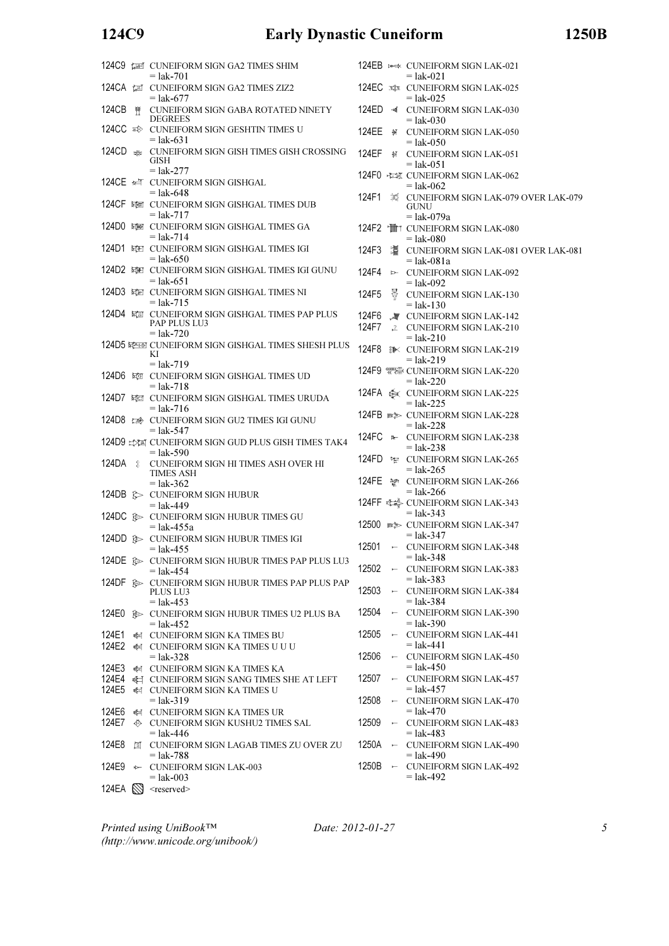## 124C9 Early Dynastic Cuneiform 1250B

|                    |   | 124C9 (EN CUNEIFORM SIGN GA2 TIMES SHIM<br>$=$ lak-701                                          |                      |                          | 124EB >>> CUNEIFORM SIGN LAK-021<br>$=$ lak-021                               |
|--------------------|---|-------------------------------------------------------------------------------------------------|----------------------|--------------------------|-------------------------------------------------------------------------------|
|                    |   | 124CA IS CUNEIFORM SIGN GA2 TIMES ZIZ2<br>$=$ lak-677                                           |                      |                          | 124EC x CUNEIFORM SIGN LAK-025<br>$=$ lak-025                                 |
| 124CB              | 評 | CUNEIFORM SIGN GABA ROTATED NINETY<br><b>DEGREES</b>                                            | 124ED                | ≁অতি                     | <b>CUNEIFORM SIGN LAK-030</b><br>$=$ lak-030                                  |
| 124CC <sub>≅</sub> |   | CUNEIFORM SIGN GESHTIN TIMES U<br>$=$ lak-631                                                   | 124EE                | Ħ                        | <b>CUNEIFORM SIGN LAK-050</b><br>$=$ lak-050                                  |
|                    |   | 124CD $\frac{1}{200}$ CUNEIFORM SIGN GISH TIMES GISH CROSSING<br>GISH                           | <b>124EF</b>         | 钌                        | <b>CUNEIFORM SIGN LAK-051</b><br>$=$ lak-051                                  |
|                    |   | $=$ lak-277<br>124CE $\iff$ CUNEIFORM SIGN GISHGAL<br>$=$ lak-648                               |                      |                          | 124F0 程额 CUNEIFORM SIGN LAK-062<br>$=$ lak-062                                |
|                    |   | 124CF 罐 CUNEIFORM SIGN GISHGAL TIMES DUB<br>$=$ lak-717                                         | 124F1                | 寓                        | <b>CUNEIFORM SIGN LAK-079</b><br><b>GUNU</b>                                  |
|                    |   | 124D0 罐 CUNEIFORM SIGN GISHGAL TIMES GA<br>$=$ lak-714                                          |                      |                          | $=$ lak-079a<br>124F2 TT CUNEIFORM SIGN LAK-080<br>$=$ lak-080                |
|                    |   | 124D1 單红 CUNEIFORM SIGN GISHGAL TIMES IGI<br>$=$ lak-650                                        | 124F3                |                          | 這 CUNEIFORM SIGN LAK-081<br>$=$ lak-081a                                      |
|                    |   | 124D2 罐 CUNEIFORM SIGN GISHGAL TIMES IGI GUNU<br>$=$ lak-651                                    | 124F4                |                          | <b>E- CUNEIFORM SIGN LAK-092</b><br>$=$ lak-092                               |
|                    |   | 124D3 辑》 CUNEIFORM SIGN GISHGAL TIMES NI<br>$=$ lak-715                                         | 124F5                | ₩                        | <b>CUNEIFORM SIGN LAK-130</b><br>$=$ lak-130                                  |
|                    |   | 124D4 辑 CUNEIFORM SIGN GISHGAL TIMES PAP PLUS<br>PAP PLUS LU3                                   | 124F6<br>124F7       |                          | <b>JUNEIFORM SIGN LAK-142</b><br>2 CUNEIFORM SIGN LAK-210                     |
|                    |   | $=$ lak-720<br>124D5 年至國 CUNEIFORM SIGN GISHGAL TIMES SHESH PLUS<br>KI                          | 124F8                |                          | $=$ lak-210<br><b>EX CUNEIFORM SIGN LAK-219</b>                               |
|                    |   | $=$ lak-719<br>124D6 罐 CUNEIFORM SIGN GISHGAL TIMES UD                                          |                      |                          | $=$ lak-219                                                                   |
|                    |   | $=$ lak-718<br>124D7 韓 CUNEIFORM SIGN GISHGAL TIMES URUDA                                       |                      |                          | $=$ lak-220                                                                   |
|                    |   | $=$ lak-716<br>124D8 BOONDEFORM SIGN GU2 TIMES IGI GUNU                                         |                      |                          | $=$ lak-225<br>124FB $\text{max}$ CUNEIFORM SIGN LAK-228                      |
|                    |   | $=$ lak-547<br>124D9 EXA CUNEIFORM SIGN GUD PLUS GISH TIMES TAK4                                |                      |                          | = lak-228<br>124FC * CUNEIFORM SIGN LAK-238<br>$=$ lak-238                    |
| 124DA              | g | $=$ lak-590<br>CUNEIFORM SIGN HI TIMES ASH OVER HI                                              |                      |                          | 124FD * CUNEIFORM SIGN LAK-265<br>$=$ lak-265                                 |
|                    |   | <b>TIMES ASH</b><br>$=$ lak-362                                                                 | 124FE $\mathbb{N}^n$ |                          | <b>CUNEIFORM SIGN LAK-266</b><br>$=$ lak-266                                  |
|                    |   | 124DB & CUNEIFORM SIGN HUBUR<br>$=$ lak-449                                                     |                      |                          | 124FF <sup>全</sup> CUNEIFORM SIGN LAK-343<br>$=$ lak-343                      |
|                    |   | 124DC � CUNEIFORM SIGN HUBUR TIMES GU<br>$=$ lak-455a<br>124DD S CUNEIFORM SIGN HUBUR TIMES IGI |                      |                          | 12500 B CUNEIFORM SIGN LAK-347<br>$=$ lak-347                                 |
|                    |   | $=$ lak-455<br>124DE S CUNEIFORM SIGN HUBUR TIMES PAP PLUS LU3                                  | 12501                |                          | $\sim$ CUNEIFORM SIGN LAK-348<br>$=$ lak-348                                  |
|                    |   | $=$ lak-454<br>124DF A CUNEIFORM SIGN HUBUR TIMES PAP PLUS PAP                                  | 12502                |                          | $\sim$ CUNEIFORM SIGN LAK-383<br>$=$ lak-383                                  |
|                    |   | PLUS LU3<br>$=$ lak-453                                                                         | 12503                | $\overline{a}$           | <b>CUNEIFORM SIGN LAK-384</b><br>$=$ lak-384                                  |
| 124E0              |   | SEX CUNEIFORM SIGN HUBUR TIMES U2 PLUS BA<br>$=$ lak-452                                        | 12504                | $\overline{\phantom{0}}$ | <b>CUNEIFORM SIGN LAK-390</b><br>$=$ lak-390                                  |
| 124E1              |   | <b>EXECUTE: CUNEIFORM SIGN KA TIMES BU</b><br>124E2 <a> CUNEIFORM SIGN KA TIMES U U U</a>       | 12505                |                          | $\sim$ CUNEIFORM SIGN LAK-441<br>$=$ lak-441                                  |
| 124E3              |   | $=$ lak-328<br><b>EXECUTE CUNEIFORM SIGN KA TIMES KA</b>                                        | 12506                |                          | $\sim$ CUNEIFORM SIGN LAK-450<br>$=$ lak-450                                  |
| 124E4<br>124E5     |   | CUNEIFORM SIGN SANG TIMES SHE AT LEFT<br><b>EL CUNEIFORM SIGN KA TIMES U</b>                    | 12507                | $\overline{a}$           | <b>CUNEIFORM SIGN LAK-457</b><br>$=$ lak-457                                  |
| 124E6              |   | $=$ lak-319<br><b>EL CUNEIFORM SIGN KA TIMES UR</b>                                             | 12508                |                          | $\sim$ CUNEIFORM SIGN LAK-470<br>$=$ lak-470                                  |
| 124E7<br>124E8     |   | ♦ CUNEIFORM SIGN KUSHU2 TIMES SAL<br>$=$ lak-446<br>CUNEIFORM SIGN LAGAB TIMES ZU OVER ZU       | 12509<br>1250A       | $\overline{\phantom{0}}$ | $\sim$ CUNEIFORM SIGN LAK-483<br>$=$ lak-483<br><b>CUNEIFORM SIGN LAK-490</b> |
| 124E9              | 圓 | $=$ lak-788<br>← CUNEIFORM SIGN LAK-003                                                         | 1250B                | $\overline{a}$           | $=$ lak-490<br><b>CUNEIFORM SIGN LAK-492</b>                                  |
| 124EA              |   | $=$ lak-003<br><reserved></reserved>                                                            |                      |                          | $=$ lak-492                                                                   |
|                    |   |                                                                                                 |                      |                          |                                                                               |

UNEIFORM SIGN LAK-050 lak-050 UNEIFORM SIGN LAK-051 lak-051 UNEIFORM SIGN LAK-062 lak-062 UNEIFORM SIGN LAK-079 OVER LAK-079 iUNU lak-079a UNEIFORM SIGN LAK-080 lak-080 UNEIFORM SIGN LAK-081 OVER LAK-081 = lak-081a UNEIFORM SIGN LAK-092 lak-092 UNEIFORM SIGN LAK-130 lak-130 UNEIFORM SIGN LAK-142 UNEIFORM SIGN LAK-210 lak-210 UNEIFORM SIGN LAK-219 lak-219 UNEIFORM SIGN LAK-220 lak-220 UNEIFORM SIGN LAK-225 lak-225 UNEIFORM SIGN LAK-228 = lak-228 UNEIFORM SIGN LAK-238 lak-238 UNEIFORM SIGN LAK-265 lak-265 UNEIFORM SIGN LAK-266 lak-266 UNEIFORM SIGN LAK-343 lak-343 UNEIFORM SIGN LAK-347 lak-347 UNEIFORM SIGN LAK-348 lak-348 UNEIFORM SIGN LAK-383 lak-383 UNEIFORM SIGN LAK-384 lak-384 UNEIFORM SIGN LAK-390 lak-390 UNEIFORM SIGN LAK-441 lak-441 UNEIFORM SIGN LAK-450 lak-450 UNEIFORM SIGN LAK-457 lak-457 UNEIFORM SIGN LAK-470 lak-470 UNEIFORM SIGN LAK-483 lak-483 UNEIFORM SIGN LAK-490 lak-490 UNEIFORM SIGN LAK-492 lak-492

Printed using UniBook™ (http://www.unicode.org/unibook/) Date: 2012-01-27 5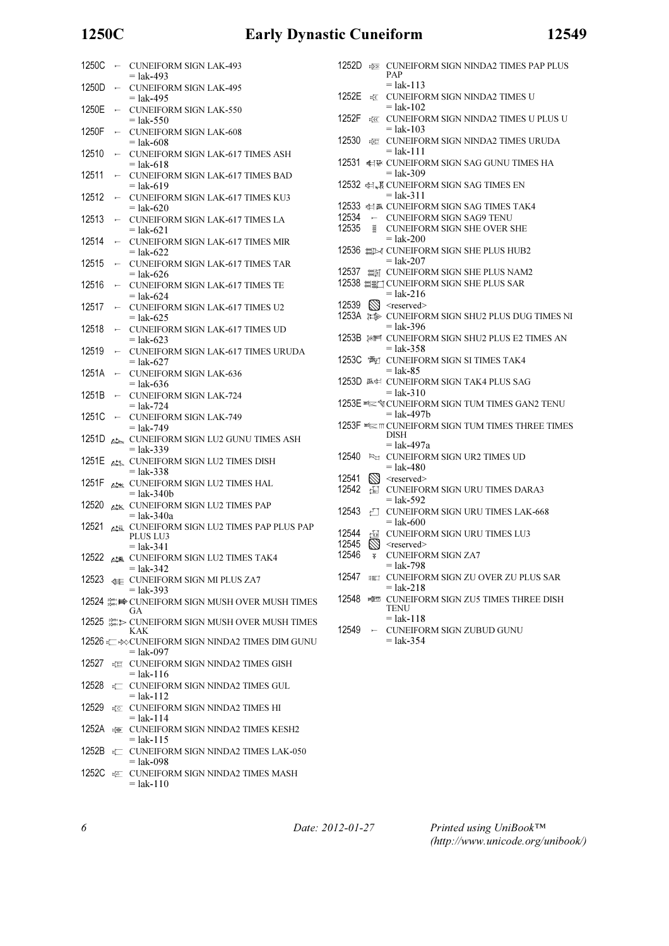## 1250C Early Dynastic Cuneiform 12549

| 1250C   | $\overline{a}$           | <b>CUNEIFORM SIGN LAK-493</b><br>$=$ lak-493                          |
|---------|--------------------------|-----------------------------------------------------------------------|
| 1250D   | $\longleftarrow$         | <b>CUNEIFORM SIGN LAK-495</b>                                         |
| 1250E   | $\longleftarrow$         | $=$ lak-495<br><b>CUNEIFORM SIGN LAK-550</b>                          |
| 1250F   | H                        | $=$ lak-550<br><b>CUNEIFORM SIGN LAK-608</b>                          |
| 12510   | $\overline{\phantom{0}}$ | = lak-608<br><b>CUNEIFORM SIGN LAK-617 TIMES ASH</b>                  |
| 12511   | $\overline{}$            | = lak-618<br>CUNEIFORM SIGN LAK-617 TIMES BAD                         |
| 12512   | $\overline{}$            | $=$ lak-619<br><b>CUNEIFORM SIGN LAK-617 TIMES KU3</b>                |
| 12513   | $\overline{}$            | = lak-620<br>CUNEIFORM SIGN LAK-617 TIMES LA                          |
| 12514   | $\overline{}$            | = lak-621<br><b>CUNEIFORM SIGN LAK-617 TIMES MIR</b><br>= lak-622     |
| 12515   |                          | <b>CUNEIFORM SIGN LAK-617 TIMES TAR</b><br>= lak-626                  |
| 12516   | $\leftarrow$             | <b>CUNEIFORM SIGN LAK-617 TIMES TE</b><br>= lak-624                   |
| 12517   |                          | CUNEIFORM SIGN LAK-617 TIMES U2<br>= lak-625                          |
| 12518   | $\overline{}$            | <b>CUNEIFORM SIGN LAK-617 TIMES UD</b>                                |
| 12519   |                          | = lak-623<br>CUNEIFORM SIGN LAK-617 TIMES URUDA                       |
| 1251A   | $\overline{}$            | $=$ lak-627<br><b>CUNEIFORM SIGN LAK-636</b>                          |
| 1251B   | $\overline{\phantom{0}}$ | $=$ lak-636<br><b>CUNEIFORM SIGN LAK-724</b>                          |
| 1251C   | $\overline{}$            | $=$ lak-724<br><b>CUNEIFORM SIGN LAK-749</b>                          |
| 1251D   | অ⊅                       | $=$ lak-749<br>CUNEIFORM SIGN LU2 GUNU TIMES ASH                      |
| 1251E   | ◭ᢢጜ                      | $=$ lak-339<br><b>CUNEIFORM SIGN LU2 TIMES DISH</b>                   |
| 1251F   | ₩                        | $=$ lak-338<br><b>CUNEIFORM SIGN LU2 TIMES HAL</b>                    |
| 12520   | ≪ٹھ                      | = lak-340b<br><b>CUNEIFORM SIGN LU2 TIMES PAP</b>                     |
| 12521   | 必遂                       | $=$ lak-340a<br>CUNEIFORM SIGN LU2 TIMES PAP PLUS PAP                 |
|         |                          | <b>PLUS LU3</b><br>$=$ lak-341                                        |
| 12522   |                          | <b>ALE</b> CUNEIFORM SIGN LU2 TIMES TAK4<br>$=$ lak-342               |
| 12523   |                          | <b>E CUNEIFORM SIGN MI PLUS ZA7</b><br>$=$ lak-393                    |
|         |                          | 12524 鑑量 CUNEIFORM SIGN MUSH OVER MUSH TIMES<br>GА                    |
|         |                          | 12525 ﷺ CUNEIFORM SIGN MUSH OVER MUSH TIMES<br>KAK                    |
|         |                          | 12526 ⊧⊏ ‡⊗CUNEIFORM SIGN NINDA2 TIMES DIM GUNU                       |
| 12527   | 讵                        | = lak-097<br>CUNEIFORM SIGN NINDA2 TIMES GISH                         |
| 12528   | 亡                        | $=$ lak-116<br>CUNEIFORM SIGN NINDA2 TIMES GUL                        |
| 12529   | ⊧ত                       | $=$ lak-112<br><b>CUNEIFORM SIGN NINDA2 TIMES HI</b>                  |
| 1252A e |                          | $=$ lak-114<br><b>CUNEIFORM SIGN NINDA2 TIMES KESH2</b>               |
| 1252B + |                          | $=$ lak-115<br><b>CUNEIFORM SIGN NINDA2 TIMES LAK-050</b>             |
|         |                          | $=$ lak-098<br>1252 $C_{\text{eff}}$ CUNFIFORM SIGN NINDA2 TIMES MASH |

0 A SIGN NINDA2 TIMES MASH  $=$  lak-110

1252D **EXECUNEIFORM SIGN NINDA2 TIMES PAP PLUS** PAP  $=$  lak-113 1252E **EX** CUNEIFORM SIGN NINDA2 TIMES U  $=$  lak-102 1252F  $\frac{1}{4}$  CUNEIFORM SIGN NINDA2 TIMES U PLUS U  $=$  lak-103 12530 **ELE** CUNEIFORM SIGN NINDA2 TIMES URUDA  $=$  lak-111 12531 HW CUNEIFORM SIGN SAG GUNU TIMES HA  $=$  lak-309 12532 H, KUNEIFORM SIGN SAG TIMES EN  $=$  lak-311 12533 H 巫 CUNEIFORM SIGN SAG TIMES TAK4 12534  $\leftarrow$  CUNEIFORM SIGN SAG9 TENU 12535 CUNEIFORM SIGN SHE OVER SHE  $=$  lak-200 12536 **XX CUNEIFORM SIGN SHE PLUS HUB2**  $=$  lak-207 12537 **XHE CUNEIFORM SIGN SHE PLUS NAM2** 12538 **XXII CUNEIFORM SIGN SHE PLUS SAR**  $=$  lak-216 12539 **\** <reserved> 1253A **IEB** CUNEIFORM SIGN SHU2 PLUS DUG TIMES NI  $=$  lak-396 1253B  $\#$  CUNEIFORM SIGN SHU2 PLUS E2 TIMES AN  $=$  lak-358 1253C 调 CUNEIFORM SIGN SI TIMES TAK4  $=$  lak-85 1253D **巫君 CUNEIFORM SIGN TAK4 PLUS SAG**  $=$  lak-310 1253E **EXAM** CUNEIFORM SIGN TUM TIMES GAN2 TENU = lak-497b 1253F  $\equiv$  TCUNEIFORM SIGN TUM TIMES THREE TIMES DISH  $=$  lak-497a 12540 FM CUNEIFORM SIGN UR2 TIMES UD  $=$  lak-480 12541  $\otimes$  <reserved> 12542 CUNEIFORM SIGN URU TIMES DARA3  $=$  lak-592 12543 T CUNEIFORM SIGN URU TIMES LAK-668  $=$  lak-600 12544 FOR CUNEIFORM SIGN URU TIMES LU3 12545  $\overline{\mathbb{S}}$  <reserved> 12546 V CUNEIFORM SIGN ZA7 = lak-798 12547 **EXAMPLE CUNEIFORM SIGN ZU OVER ZU PLUS SAR**  $=$  lak-218 12548 FRIEST CUNEIFORM SIGN ZU5 TIMES THREE DISH **TENU**  $=$  lak-118 12549 - CUNEIFORM SIGN ZUBUD GUNU  $=$  lak-354

6 Date: 2012-01-27

Printed using UniBook™ (http://www.unicode.org/unibook/)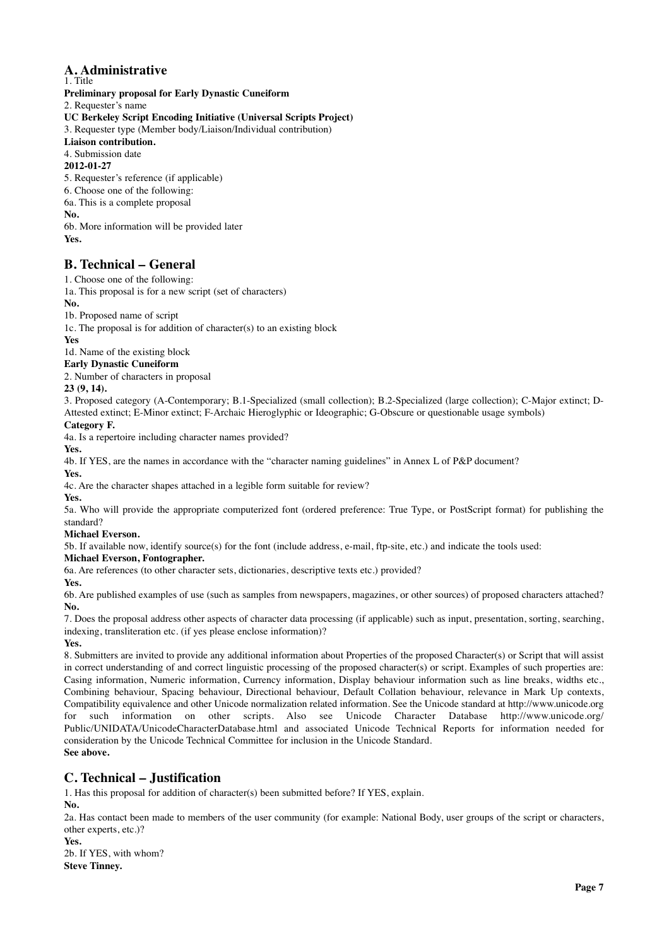## **A. Administrative**

1. Title **Preliminary proposal for Early Dynastic Cuneiform** 2. Requester's name **UC Berkeley Script Encoding Initiative (Universal Scripts Project)** 3. Requester type (Member body/Liaison/Individual contribution) **Liaison contribution.** 4. Submission date **2012-01-27** 5. Requester's reference (if applicable) 6. Choose one of the following: 6a. This is a complete proposal

**No.**

6b. More information will be provided later **Yes.**

### **B. Technical – General**

1. Choose one of the following:

1a. This proposal is for a new script (set of characters)

**No.**

1b. Proposed name of script

1c. The proposal is for addition of character(s) to an existing block

**Yes**

1d. Name of the existing block

#### **Early Dynastic Cuneiform**

2. Number of characters in proposal

**23 (9, 14).**

3. Proposed category (A-Contemporary; B.1-Specialized (small collection); B.2-Specialized (large collection); C-Major extinct; D-Attested extinct; E-Minor extinct; F-Archaic Hieroglyphic or Ideographic; G-Obscure or questionable usage symbols)

#### **Category F.**

4a. Is a repertoire including character names provided?

**Yes.**

4b. If YES, are the names in accordance with the "character naming guidelines" in Annex L of P&P document?

**Yes.**

4c. Are the character shapes attached in a legible form suitable for review?

**Yes.**

5a. Who will provide the appropriate computerized font (ordered preference: True Type, or PostScript format) for publishing the standard?

### **Michael Everson.**

5b. If available now, identify source(s) for the font (include address, e-mail, ftp-site, etc.) and indicate the tools used:

#### **Michael Everson, Fontographer.**

6a. Are references (to other character sets, dictionaries, descriptive texts etc.) provided?

**Yes.**

6b. Are published examples of use (such as samples from newspapers, magazines, or other sources) of proposed characters attached? **No.**

7. Does the proposal address other aspects of character data processing (if applicable) such as input, presentation, sorting, searching, indexing, transliteration etc. (if yes please enclose information)?

**Yes.**

8. Submitters are invited to provide any additional information about Properties of the proposed Character(s) or Script that will assist in correct understanding of and correct linguistic processing of the proposed character(s) or script. Examples of such properties are: Casing information, Numeric information, Currency information, Display behaviour information such as line breaks, widths etc., Combining behaviour, Spacing behaviour, Directional behaviour, Default Collation behaviour, relevance in Mark Up contexts, Compatibility equivalence and other Unicode normalization related information. See the Unicode standard at http://www.unicode.org for such information on other scripts. Also see Unicode Character Database http://www.unicode.org/ Public/UNIDATA/UnicodeCharacterDatabase.html and associated Unicode Technical Reports for information needed for consideration by the Unicode Technical Committee for inclusion in the Unicode Standard. **See above.**

## **C. Technical – Justification**

1. Has this proposal for addition of character(s) been submitted before? If YES, explain.

**No.**

2a. Has contact been made to members of the user community (for example: National Body, user groups of the script or characters, other experts, etc.)?

**Yes.**

2b. If YES, with whom? **Steve Tinney.**